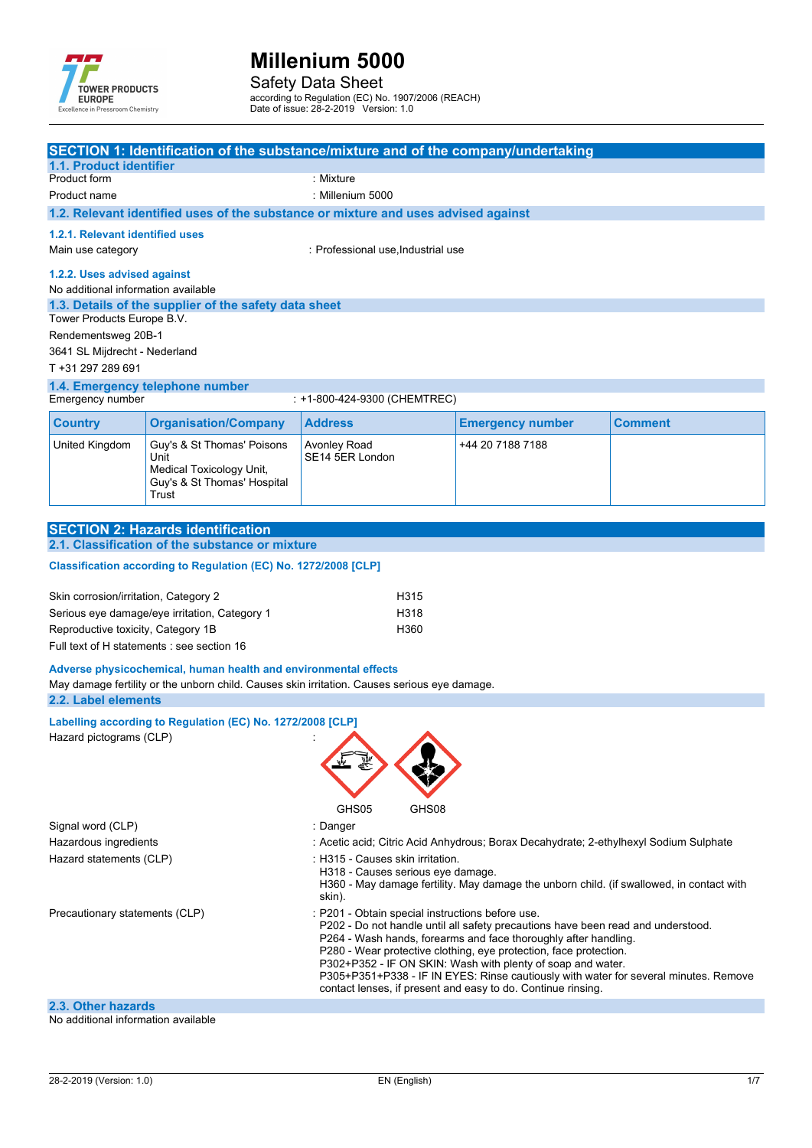

Safety Data Sheet

according to Regulation (EC) No. 1907/2006 (REACH)

Date of issue: 28-2-2019 Version: 1.0

|                                                                                       |                                                                                                        | SECTION 1: Identification of the substance/mixture and of the company/undertaking                                                                                                                                                                                                                                                                                                                                                                                                                   |                         |         |
|---------------------------------------------------------------------------------------|--------------------------------------------------------------------------------------------------------|-----------------------------------------------------------------------------------------------------------------------------------------------------------------------------------------------------------------------------------------------------------------------------------------------------------------------------------------------------------------------------------------------------------------------------------------------------------------------------------------------------|-------------------------|---------|
| 1.1. Product identifier<br>Product form                                               |                                                                                                        | : Mixture                                                                                                                                                                                                                                                                                                                                                                                                                                                                                           |                         |         |
| Product name                                                                          |                                                                                                        | : Millenium 5000                                                                                                                                                                                                                                                                                                                                                                                                                                                                                    |                         |         |
|                                                                                       |                                                                                                        | 1.2. Relevant identified uses of the substance or mixture and uses advised against                                                                                                                                                                                                                                                                                                                                                                                                                  |                         |         |
| 1.2.1. Relevant identified uses<br>Main use category                                  |                                                                                                        | : Professional use, Industrial use                                                                                                                                                                                                                                                                                                                                                                                                                                                                  |                         |         |
| 1.2.2. Uses advised against<br>No additional information available                    |                                                                                                        |                                                                                                                                                                                                                                                                                                                                                                                                                                                                                                     |                         |         |
| Tower Products Europe B.V.                                                            | 1.3. Details of the supplier of the safety data sheet                                                  |                                                                                                                                                                                                                                                                                                                                                                                                                                                                                                     |                         |         |
| Rendementsweg 20B-1<br>3641 SL Mijdrecht - Nederland<br>T +31 297 289 691             |                                                                                                        |                                                                                                                                                                                                                                                                                                                                                                                                                                                                                                     |                         |         |
|                                                                                       | 1.4. Emergency telephone number                                                                        |                                                                                                                                                                                                                                                                                                                                                                                                                                                                                                     |                         |         |
| Emergency number                                                                      |                                                                                                        | : +1-800-424-9300 (CHEMTREC)                                                                                                                                                                                                                                                                                                                                                                                                                                                                        |                         |         |
| <b>Country</b>                                                                        | <b>Organisation/Company</b>                                                                            | <b>Address</b>                                                                                                                                                                                                                                                                                                                                                                                                                                                                                      | <b>Emergency number</b> | Comment |
| <b>United Kingdom</b>                                                                 | Guy's & St Thomas' Poisons<br>Unit<br>Medical Toxicology Unit,<br>Guy's & St Thomas' Hospital<br>Trust | Avonley Road<br>SE14 5ER London                                                                                                                                                                                                                                                                                                                                                                                                                                                                     | +44 20 7188 7188        |         |
|                                                                                       |                                                                                                        |                                                                                                                                                                                                                                                                                                                                                                                                                                                                                                     |                         |         |
|                                                                                       | <b>SECTION 2: Hazards identification</b><br>2.1. Classification of the substance or mixture            |                                                                                                                                                                                                                                                                                                                                                                                                                                                                                                     |                         |         |
|                                                                                       |                                                                                                        |                                                                                                                                                                                                                                                                                                                                                                                                                                                                                                     |                         |         |
|                                                                                       | Classification according to Regulation (EC) No. 1272/2008 [CLP]                                        |                                                                                                                                                                                                                                                                                                                                                                                                                                                                                                     |                         |         |
| Skin corrosion/irritation, Category 2                                                 |                                                                                                        | H315                                                                                                                                                                                                                                                                                                                                                                                                                                                                                                |                         |         |
|                                                                                       | Serious eye damage/eye irritation, Category 1                                                          | H318                                                                                                                                                                                                                                                                                                                                                                                                                                                                                                |                         |         |
| Reproductive toxicity, Category 1B                                                    |                                                                                                        | H360                                                                                                                                                                                                                                                                                                                                                                                                                                                                                                |                         |         |
|                                                                                       | Full text of H statements : see section 16                                                             |                                                                                                                                                                                                                                                                                                                                                                                                                                                                                                     |                         |         |
| 2.2. Label elements                                                                   | Adverse physicochemical, human health and environmental effects                                        | May damage fertility or the unborn child. Causes skin irritation. Causes serious eye damage.                                                                                                                                                                                                                                                                                                                                                                                                        |                         |         |
|                                                                                       |                                                                                                        |                                                                                                                                                                                                                                                                                                                                                                                                                                                                                                     |                         |         |
| Labelling according to Regulation (EC) No. 1272/2008 [CLP]<br>Hazard pictograms (CLP) |                                                                                                        |                                                                                                                                                                                                                                                                                                                                                                                                                                                                                                     |                         |         |
|                                                                                       |                                                                                                        | GHS05<br>GHS08                                                                                                                                                                                                                                                                                                                                                                                                                                                                                      |                         |         |
| Signal word (CLP)                                                                     |                                                                                                        | : Danger                                                                                                                                                                                                                                                                                                                                                                                                                                                                                            |                         |         |
| Hazardous ingredients                                                                 |                                                                                                        | : Acetic acid; Citric Acid Anhydrous; Borax Decahydrate; 2-ethylhexyl Sodium Sulphate                                                                                                                                                                                                                                                                                                                                                                                                               |                         |         |
| Hazard statements (CLP)                                                               |                                                                                                        | : H315 - Causes skin irritation.<br>H318 - Causes serious eye damage.<br>H360 - May damage fertility. May damage the unborn child. (if swallowed, in contact with<br>skin).                                                                                                                                                                                                                                                                                                                         |                         |         |
| Precautionary statements (CLP)                                                        |                                                                                                        | : P201 - Obtain special instructions before use.<br>P202 - Do not handle until all safety precautions have been read and understood.<br>P264 - Wash hands, forearms and face thoroughly after handling.<br>P280 - Wear protective clothing, eye protection, face protection.<br>P302+P352 - IF ON SKIN: Wash with plenty of soap and water.<br>P305+P351+P338 - IF IN EYES: Rinse cautiously with water for several minutes. Remove<br>contact lenses, if present and easy to do. Continue rinsing. |                         |         |
|                                                                                       |                                                                                                        |                                                                                                                                                                                                                                                                                                                                                                                                                                                                                                     |                         |         |

#### **2.3. Other hazards** No additional information available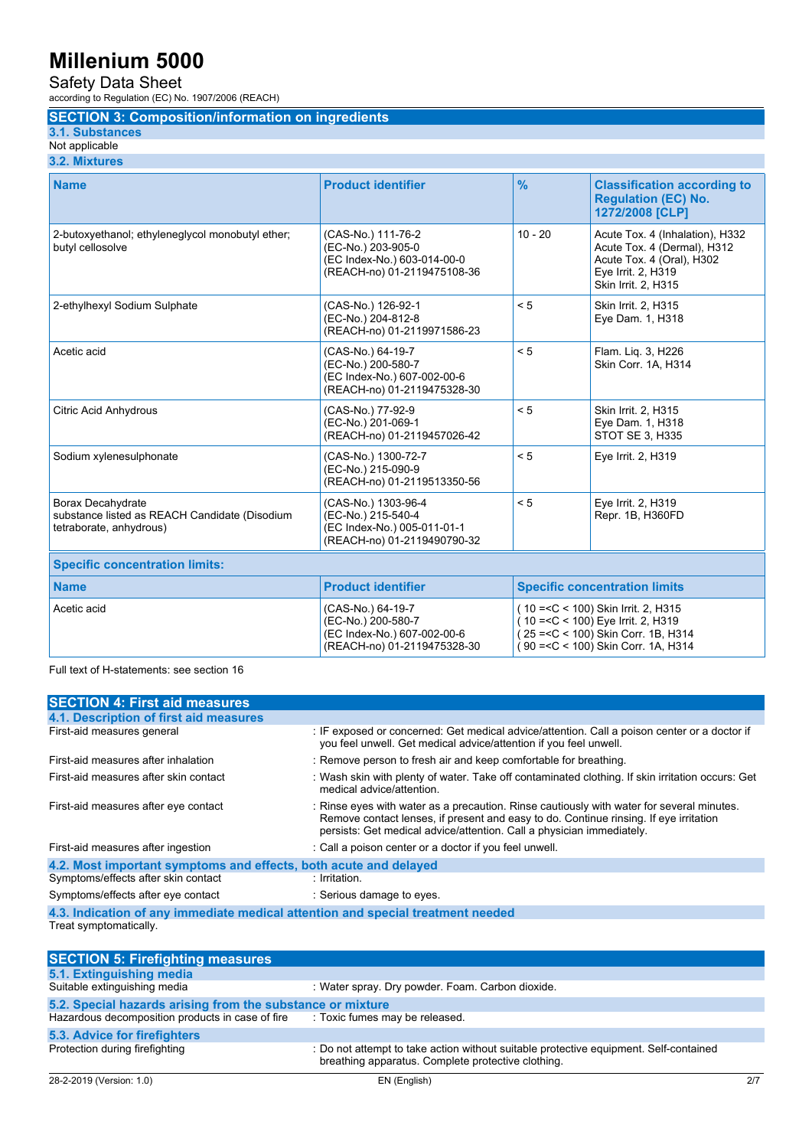Safety Data Sheet

according to Regulation (EC) No. 1907/2006 (REACH)

## **SECTION 3: Composition/information on ingredients**

**3.1. Substances**

#### Not applicable **3.2. Mixtures**

| <b>Name</b>                                                                                   | <b>Product identifier</b>                                                                               | $\frac{9}{6}$ | <b>Classification according to</b><br><b>Regulation (EC) No.</b><br>1272/2008 [CLP]                                                                        |
|-----------------------------------------------------------------------------------------------|---------------------------------------------------------------------------------------------------------|---------------|------------------------------------------------------------------------------------------------------------------------------------------------------------|
| 2-butoxyethanol; ethyleneglycol monobutyl ether;<br>butyl cellosolve                          | (CAS-No.) 111-76-2<br>(EC-No.) 203-905-0<br>(EC Index-No.) 603-014-00-0<br>(REACH-no) 01-2119475108-36  | $10 - 20$     | Acute Tox. 4 (Inhalation), H332<br>Acute Tox. 4 (Dermal), H312<br>Acute Tox. 4 (Oral), H302<br>Eye Irrit. 2, H319<br>Skin Irrit. 2, H315                   |
| 2-ethylhexyl Sodium Sulphate                                                                  | (CAS-No.) 126-92-1<br>(EC-No.) 204-812-8<br>(REACH-no) 01-2119971586-23                                 | < 5           | Skin Irrit. 2, H315<br>Eye Dam. 1, H318                                                                                                                    |
| Acetic acid                                                                                   | (CAS-No.) 64-19-7<br>(EC-No.) 200-580-7<br>(EC Index-No.) 607-002-00-6<br>(REACH-no) 01-2119475328-30   | < 5           | Flam. Lig. 3, H226<br>Skin Corr. 1A, H314                                                                                                                  |
| <b>Citric Acid Anhydrous</b>                                                                  | (CAS-No.) 77-92-9<br>(EC-No.) 201-069-1<br>(REACH-no) 01-2119457026-42                                  | < 5           | Skin Irrit. 2, H315<br>Eye Dam. 1, H318<br><b>STOT SE 3, H335</b>                                                                                          |
| Sodium xylenesulphonate                                                                       | (CAS-No.) 1300-72-7<br>(EC-No.) 215-090-9<br>(REACH-no) 01-2119513350-56                                | < 5           | Eye Irrit. 2, H319                                                                                                                                         |
| Borax Decahydrate<br>substance listed as REACH Candidate (Disodium<br>tetraborate, anhydrous) | (CAS-No.) 1303-96-4<br>(EC-No.) 215-540-4<br>(EC Index-No.) 005-011-01-1<br>(REACH-no) 01-2119490790-32 | < 5           | Eve Irrit. 2, H319<br>Repr. 1B, H360FD                                                                                                                     |
| <b>Specific concentration limits:</b>                                                         |                                                                                                         |               |                                                                                                                                                            |
| <b>Name</b>                                                                                   | <b>Product identifier</b>                                                                               |               | <b>Specific concentration limits</b>                                                                                                                       |
| Acetic acid                                                                                   | (CAS-No.) 64-19-7<br>(EC-No.) 200-580-7<br>(EC Index-No.) 607-002-00-6<br>(REACH-no) 01-2119475328-30   |               | (10 = < C < 100) Skin Irrit. 2, H315<br>(10 = < C < 100) Eye Irrit. 2, H319<br>(25 = < C < 100) Skin Corr. 1B, H314<br>90 = < C < 100) Skin Corr. 1A, H314 |

Full text of H-statements: see section 16

| <b>SECTION 4: First aid measures</b>                                            |                                                                                                                                                                                                                                                             |
|---------------------------------------------------------------------------------|-------------------------------------------------------------------------------------------------------------------------------------------------------------------------------------------------------------------------------------------------------------|
| 4.1. Description of first aid measures                                          |                                                                                                                                                                                                                                                             |
| First-aid measures general                                                      | : IF exposed or concerned: Get medical advice/attention. Call a poison center or a doctor if<br>you feel unwell. Get medical advice/attention if you feel unwell.                                                                                           |
| First-aid measures after inhalation                                             | : Remove person to fresh air and keep comfortable for breathing.                                                                                                                                                                                            |
| First-aid measures after skin contact                                           | : Wash skin with plenty of water. Take off contaminated clothing. If skin irritation occurs: Get<br>medical advice/attention.                                                                                                                               |
| First-aid measures after eye contact                                            | : Rinse eyes with water as a precaution. Rinse cautiously with water for several minutes.<br>Remove contact lenses, if present and easy to do. Continue rinsing. If eye irritation<br>persists: Get medical advice/attention. Call a physician immediately. |
| First-aid measures after ingestion                                              | : Call a poison center or a doctor if you feel unwell.                                                                                                                                                                                                      |
| 4.2. Most important symptoms and effects, both acute and delayed                |                                                                                                                                                                                                                                                             |
| Symptoms/effects after skin contact                                             | : Irritation.                                                                                                                                                                                                                                               |
| Symptoms/effects after eye contact                                              | : Serious damage to eyes.                                                                                                                                                                                                                                   |
| 4.3. Indication of any immediate medical attention and special treatment needed |                                                                                                                                                                                                                                                             |
| Treat symptomatically.                                                          |                                                                                                                                                                                                                                                             |
|                                                                                 |                                                                                                                                                                                                                                                             |
| <b>SECTION 5: Firefighting measures</b>                                         |                                                                                                                                                                                                                                                             |
| 51 Extinguiching modia                                                          |                                                                                                                                                                                                                                                             |

| <u> 225 hele in the mongolithay modelling</u>              |                                                                                                                                             |
|------------------------------------------------------------|---------------------------------------------------------------------------------------------------------------------------------------------|
| 5.1. Extinguishing media                                   |                                                                                                                                             |
| Suitable extinguishing media                               | : Water spray. Dry powder. Foam. Carbon dioxide.                                                                                            |
| 5.2. Special hazards arising from the substance or mixture |                                                                                                                                             |
| Hazardous decomposition products in case of fire           | : Toxic fumes may be released.                                                                                                              |
| 5.3. Advice for firefighters                               |                                                                                                                                             |
| Protection during firefighting                             | : Do not attempt to take action without suitable protective equipment. Self-contained<br>breathing apparatus. Complete protective clothing. |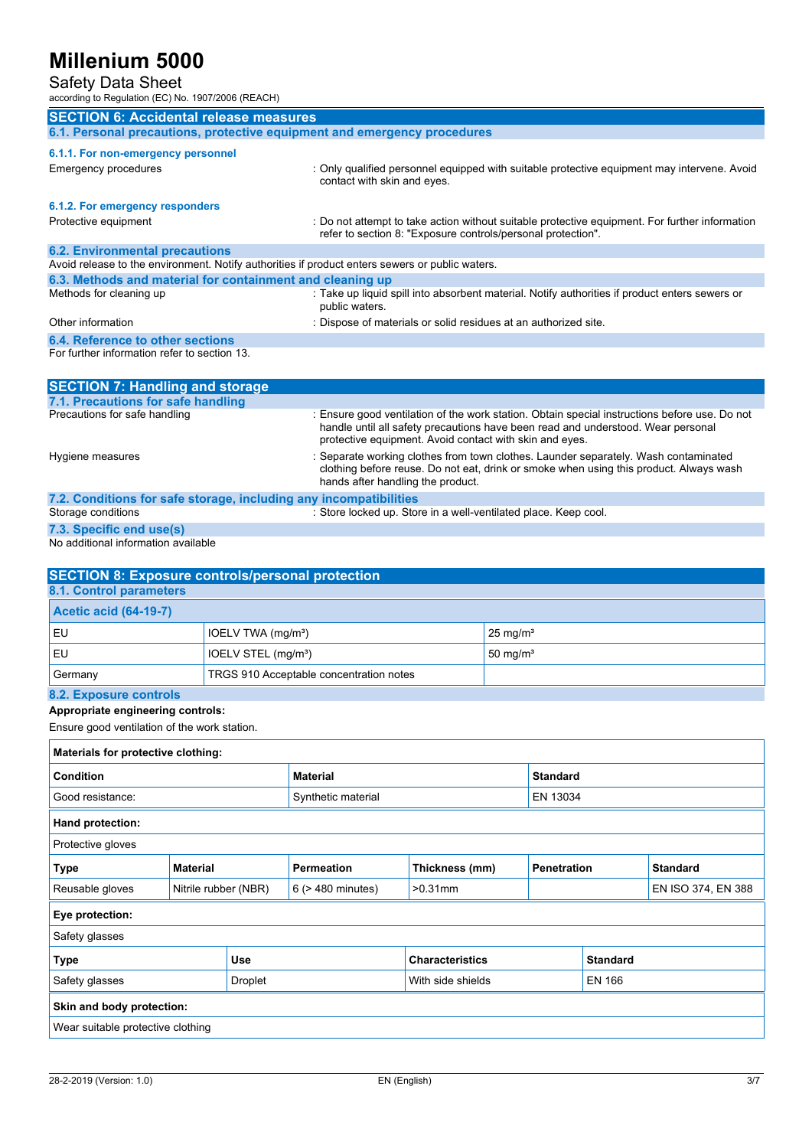Safety Data Sheet

according to Regulation (EC) No. 1907/2006 (REACH)

| <b>SECTION 6: Accidental release measures</b>                                                   |                                                                                                                                                                                                                                              |
|-------------------------------------------------------------------------------------------------|----------------------------------------------------------------------------------------------------------------------------------------------------------------------------------------------------------------------------------------------|
| 6.1. Personal precautions, protective equipment and emergency procedures                        |                                                                                                                                                                                                                                              |
| 6.1.1. For non-emergency personnel                                                              |                                                                                                                                                                                                                                              |
| Emergency procedures                                                                            | : Only qualified personnel equipped with suitable protective equipment may intervene. Avoid<br>contact with skin and eyes.                                                                                                                   |
| 6.1.2. For emergency responders                                                                 |                                                                                                                                                                                                                                              |
| Protective equipment                                                                            | : Do not attempt to take action without suitable protective equipment. For further information<br>refer to section 8: "Exposure controls/personal protection".                                                                               |
| <b>6.2. Environmental precautions</b>                                                           |                                                                                                                                                                                                                                              |
| Avoid release to the environment. Notify authorities if product enters sewers or public waters. |                                                                                                                                                                                                                                              |
| 6.3. Methods and material for containment and cleaning up                                       |                                                                                                                                                                                                                                              |
| Methods for cleaning up                                                                         | : Take up liquid spill into absorbent material. Notify authorities if product enters sewers or<br>public waters.                                                                                                                             |
| Other information                                                                               | : Dispose of materials or solid residues at an authorized site.                                                                                                                                                                              |
| 6.4. Reference to other sections                                                                |                                                                                                                                                                                                                                              |
| For further information refer to section 13.                                                    |                                                                                                                                                                                                                                              |
| <b>SECTION 7: Handling and storage</b>                                                          |                                                                                                                                                                                                                                              |
| 7.1. Precautions for safe handling                                                              |                                                                                                                                                                                                                                              |
| Precautions for safe handling                                                                   | : Ensure good ventilation of the work station. Obtain special instructions before use. Do not<br>handle until all safety precautions have been read and understood. Wear personal<br>protective equipment. Avoid contact with skin and eyes. |
| Hygiene measures                                                                                | : Separate working clothes from town clothes. Launder separately. Wash contaminated<br>clothing before reuse. Do not eat, drink or smoke when using this product. Always wash<br>hands after handling the product.                           |
| 7.2. Conditions for safe storage, including any incompatibilities                               |                                                                                                                                                                                                                                              |
| Storage conditions                                                                              | : Store locked up. Store in a well-ventilated place. Keep cool.                                                                                                                                                                              |

```
7.3. Specific end use(s)
```
No additional information available

| <b>SECTION 8: Exposure controls/personal protection</b> |                                         |                     |  |  |
|---------------------------------------------------------|-----------------------------------------|---------------------|--|--|
| 8.1. Control parameters                                 |                                         |                     |  |  |
| <b>Acetic acid (64-19-7)</b>                            |                                         |                     |  |  |
| EU                                                      | IOELV TWA $(mq/m3)$                     | $25 \text{ mg/m}^3$ |  |  |
| EU                                                      | IOELV STEL (mg/m <sup>3</sup> )         | $50 \text{ mg/m}^3$ |  |  |
| Germany                                                 | TRGS 910 Acceptable concentration notes |                     |  |  |
| 8.2. Exposure controls                                  |                                         |                     |  |  |

## **Appropriate engineering controls:**

Ensure good ventilation of the work station.

| Materials for protective clothing:      |                 |                        |                        |                 |                                       |                    |  |
|-----------------------------------------|-----------------|------------------------|------------------------|-----------------|---------------------------------------|--------------------|--|
| Condition                               |                 | <b>Material</b>        |                        | <b>Standard</b> |                                       |                    |  |
| Good resistance:                        |                 | Synthetic material     |                        | EN 13034        |                                       |                    |  |
| <b>Hand protection:</b>                 |                 |                        |                        |                 |                                       |                    |  |
| Protective gloves                       |                 |                        |                        |                 |                                       |                    |  |
| <b>Type</b>                             | <b>Material</b> |                        | <b>Permeation</b>      | Thickness (mm)  | <b>Penetration</b><br><b>Standard</b> |                    |  |
| Reusable gloves<br>Nitrile rubber (NBR) |                 | $6$ ( $>$ 480 minutes) | $>0.31$ mm             |                 |                                       | EN ISO 374, EN 388 |  |
| Eye protection:                         |                 |                        |                        |                 |                                       |                    |  |
| Safety glasses                          |                 |                        |                        |                 |                                       |                    |  |
| <b>Use</b><br><b>Type</b>               |                 |                        | <b>Characteristics</b> |                 | <b>Standard</b>                       |                    |  |
| Safety glasses<br>Droplet               |                 | With side shields      |                        | EN 166          |                                       |                    |  |
| Skin and body protection:               |                 |                        |                        |                 |                                       |                    |  |
| Wear suitable protective clothing       |                 |                        |                        |                 |                                       |                    |  |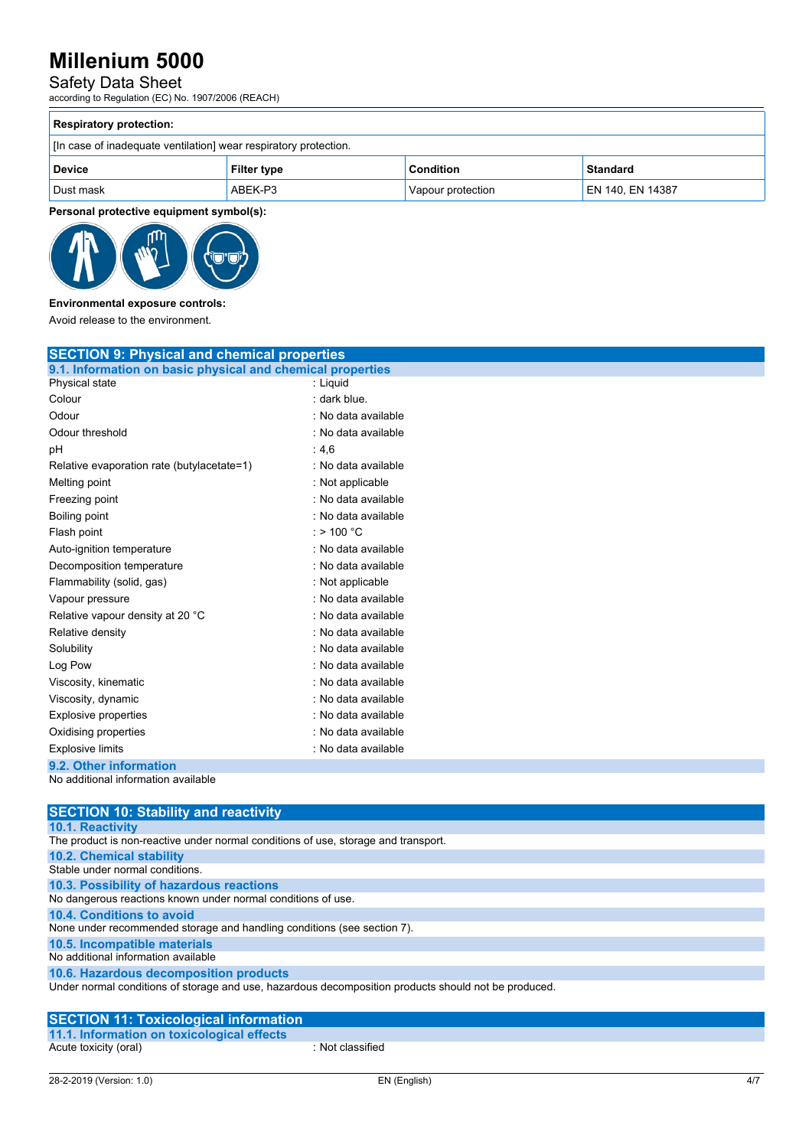### Safety Data Sheet

according to Regulation (EC) No. 1907/2006 (REACH)

| <b>Respiratory protection:</b>                                   |                    |                   |                  |  |  |
|------------------------------------------------------------------|--------------------|-------------------|------------------|--|--|
| [In case of inadequate ventilation] wear respiratory protection. |                    |                   |                  |  |  |
| <b>Device</b>                                                    | <b>Filter type</b> | Condition         | Standard         |  |  |
| Dust mask                                                        | ABEK-P3            | Vapour protection | EN 140, EN 14387 |  |  |

**Personal protective equipment symbol(s):**



## **Environmental exposure controls:**

Avoid release to the environment.

| <b>SECTION 9: Physical and chemical properties</b>         |                     |  |  |  |
|------------------------------------------------------------|---------------------|--|--|--|
| 9.1. Information on basic physical and chemical properties |                     |  |  |  |
| Physical state                                             | : Liquid            |  |  |  |
| Colour                                                     | : dark blue.        |  |  |  |
| Odour                                                      | : No data available |  |  |  |
| Odour threshold                                            | : No data available |  |  |  |
| pH                                                         | : $4,6$             |  |  |  |
| Relative evaporation rate (butylacetate=1)                 | : No data available |  |  |  |
| Melting point                                              | : Not applicable    |  |  |  |
| Freezing point                                             | : No data available |  |  |  |
| Boiling point                                              | : No data available |  |  |  |
| Flash point                                                | $:$ > 100 °C        |  |  |  |
| Auto-ignition temperature                                  | : No data available |  |  |  |
| Decomposition temperature                                  | : No data available |  |  |  |
| Flammability (solid, gas)                                  | : Not applicable    |  |  |  |
| Vapour pressure                                            | : No data available |  |  |  |
| Relative vapour density at 20 °C                           | : No data available |  |  |  |
| Relative density                                           | : No data available |  |  |  |
| Solubility                                                 | : No data available |  |  |  |
| Log Pow                                                    | : No data available |  |  |  |
| Viscosity, kinematic                                       | : No data available |  |  |  |
| Viscosity, dynamic                                         | : No data available |  |  |  |
| Explosive properties                                       | : No data available |  |  |  |
| Oxidising properties                                       | : No data available |  |  |  |
| <b>Explosive limits</b>                                    | : No data available |  |  |  |
| 9.2. Other information                                     |                     |  |  |  |
| No additional information available                        |                     |  |  |  |

| <b>SECTION 10: Stability and reactivity</b>                                                          |
|------------------------------------------------------------------------------------------------------|
| <b>10.1. Reactivity</b>                                                                              |
| The product is non-reactive under normal conditions of use, storage and transport.                   |
| <b>10.2. Chemical stability</b>                                                                      |
| Stable under normal conditions.                                                                      |
| 10.3. Possibility of hazardous reactions                                                             |
| No dangerous reactions known under normal conditions of use.                                         |
| 10.4. Conditions to avoid                                                                            |
| None under recommended storage and handling conditions (see section 7).                              |
| 10.5. Incompatible materials                                                                         |
| No additional information available                                                                  |
| 10.6. Hazardous decomposition products                                                               |
| Under normal conditions of storage and use, hazardous decomposition products should not be produced. |

### **SECTION 11: Toxicological information 11.1. Information on toxicological effects**

Acute toxicity (oral) **Example 2** : Not classified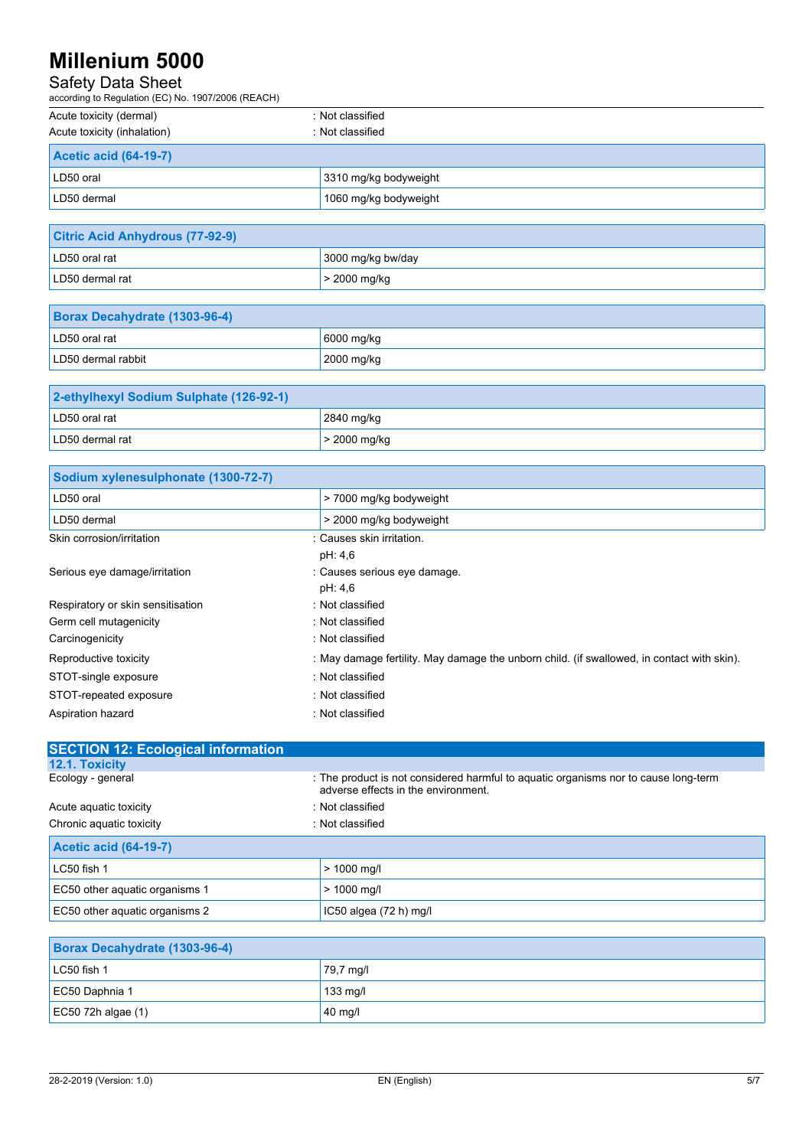## Safety Data Sheet

| according to Regulation (EC) No. 1907/2006 (REACH) |                       |  |  |
|----------------------------------------------------|-----------------------|--|--|
| Acute toxicity (dermal)                            | : Not classified      |  |  |
| Acute toxicity (inhalation)                        | : Not classified      |  |  |
| <b>Acetic acid (64-19-7)</b>                       |                       |  |  |
| LD50 oral                                          | 3310 mg/kg bodyweight |  |  |
| LD50 dermal                                        | 1060 mg/kg bodyweight |  |  |

| <b>Citric Acid Anhydrous (77-92-9)</b> |                   |  |
|----------------------------------------|-------------------|--|
| LD50 oral rat                          | 3000 mg/kg bw/day |  |
| LD50 dermal rat                        | $>$ 2000 mg/kg    |  |

| Borax Decahydrate (1303-96-4) |                    |
|-------------------------------|--------------------|
| LD50 oral rat                 | $\vert$ 6000 mg/kg |
| LD50 dermal rabbit            | $2000$ mg/kg       |

| 2-ethylhexyl Sodium Sulphate (126-92-1) |                |
|-----------------------------------------|----------------|
| LD50 oral rat                           | 2840 mg/kg     |
| LD50 dermal rat                         | $>$ 2000 mg/kg |

| Sodium xylenesulphonate (1300-72-7) |                                                                                            |
|-------------------------------------|--------------------------------------------------------------------------------------------|
| LD50 oral                           | > 7000 mg/kg bodyweight                                                                    |
| LD50 dermal                         | > 2000 mg/kg bodyweight                                                                    |
| Skin corrosion/irritation           | : Causes skin irritation.                                                                  |
|                                     | pH: 4,6                                                                                    |
| Serious eye damage/irritation       | : Causes serious eye damage.                                                               |
|                                     | pH: 4,6                                                                                    |
| Respiratory or skin sensitisation   | : Not classified                                                                           |
| Germ cell mutagenicity              | : Not classified                                                                           |
| Carcinogenicity                     | : Not classified                                                                           |
| Reproductive toxicity               | : May damage fertility. May damage the unborn child. (if swallowed, in contact with skin). |
| STOT-single exposure                | : Not classified                                                                           |
| STOT-repeated exposure              | : Not classified                                                                           |
| Aspiration hazard                   | : Not classified                                                                           |

| : The product is not considered harmful to aquatic organisms nor to cause long-term<br>adverse effects in the environment. |
|----------------------------------------------------------------------------------------------------------------------------|
| : Not classified                                                                                                           |
| : Not classified                                                                                                           |
|                                                                                                                            |
| $> 1000$ mg/l                                                                                                              |
| $> 1000$ mg/l                                                                                                              |
| IC50 algea $(72 h)$ mg/l                                                                                                   |
|                                                                                                                            |
|                                                                                                                            |
| 79,7 mg/l                                                                                                                  |
|                                                                                                                            |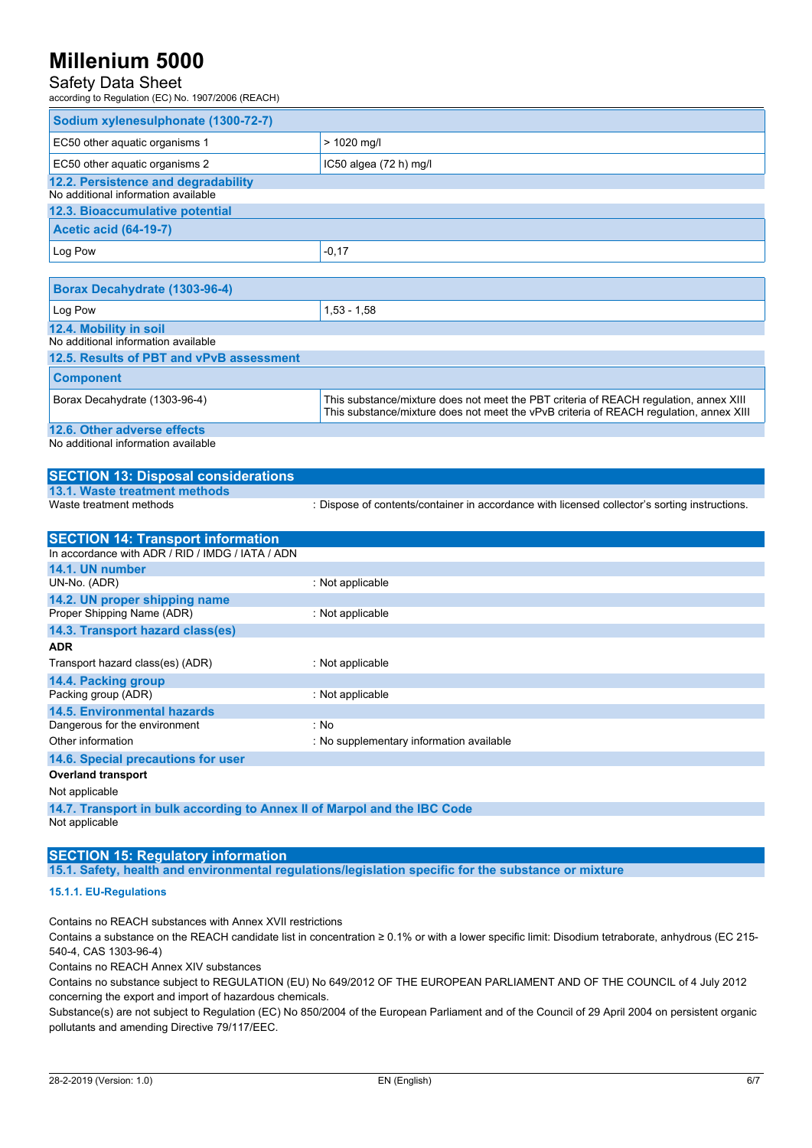## Safety Data Sheet

according to Regulation (EC) No. 1907/2006 (REACH)

| Sodium xylenesulphonate (1300-72-7)                             |                          |
|-----------------------------------------------------------------|--------------------------|
| EC50 other aquatic organisms 1                                  | $> 1020$ mg/l            |
| EC50 other aquatic organisms 2                                  | IC50 algea $(72 h)$ mg/l |
| 12.2. Persistence and degradability                             |                          |
| No additional information available                             |                          |
| 12.3. Bioaccumulative potential<br><b>Acetic acid (64-19-7)</b> |                          |
|                                                                 |                          |
| Log Pow                                                         | $-0,17$                  |

| Borax Decahydrate (1303-96-4)            |                                                                                                                                                                                 |
|------------------------------------------|---------------------------------------------------------------------------------------------------------------------------------------------------------------------------------|
| Log Pow                                  | $1,53 - 1,58$                                                                                                                                                                   |
| 12.4. Mobility in soil                   |                                                                                                                                                                                 |
| No additional information available      |                                                                                                                                                                                 |
| 12.5. Results of PBT and vPvB assessment |                                                                                                                                                                                 |
| <b>Component</b>                         |                                                                                                                                                                                 |
| Borax Decahydrate (1303-96-4)            | This substance/mixture does not meet the PBT criteria of REACH regulation, annex XIII<br>This substance/mixture does not meet the vPvB criteria of REACH regulation, annex XIII |
| 12.6. Other adverse effects              |                                                                                                                                                                                 |
|                                          |                                                                                                                                                                                 |

No additional information available

### **SECTION 13: Disposal considerations 13.1. Waste treatment methods** : Dispose of contents/container in accordance with licensed collector's sorting instructions.

| <b>SECTION 14: Transport information</b>                                 |                                          |  |
|--------------------------------------------------------------------------|------------------------------------------|--|
| In accordance with ADR / RID / IMDG / IATA / ADN                         |                                          |  |
| 14.1. UN number                                                          |                                          |  |
| UN-No. (ADR)                                                             | : Not applicable                         |  |
| 14.2. UN proper shipping name                                            |                                          |  |
| Proper Shipping Name (ADR)                                               | : Not applicable                         |  |
| 14.3. Transport hazard class(es)                                         |                                          |  |
| <b>ADR</b>                                                               |                                          |  |
| Transport hazard class(es) (ADR)                                         | : Not applicable                         |  |
| 14.4. Packing group                                                      |                                          |  |
| Packing group (ADR)                                                      | : Not applicable                         |  |
| <b>14.5. Environmental hazards</b>                                       |                                          |  |
| Dangerous for the environment                                            | : No                                     |  |
| Other information                                                        | : No supplementary information available |  |
| 14.6. Special precautions for user                                       |                                          |  |
| <b>Overland transport</b>                                                |                                          |  |
| Not applicable                                                           |                                          |  |
| 14.7. Transport in bulk according to Annex II of Marpol and the IBC Code |                                          |  |

Not applicable

### **SECTION 15: Regulatory information**

**15.1. Safety, health and environmental regulations/legislation specific for the substance or mixture**

### **15.1.1. EU-Regulations**

Contains no REACH substances with Annex XVII restrictions

Contains a substance on the REACH candidate list in concentration ≥ 0.1% or with a lower specific limit: Disodium tetraborate, anhydrous (EC 215- 540-4, CAS 1303-96-4)

Contains no REACH Annex XIV substances

Contains no substance subject to REGULATION (EU) No 649/2012 OF THE EUROPEAN PARLIAMENT AND OF THE COUNCIL of 4 July 2012 concerning the export and import of hazardous chemicals.

Substance(s) are not subject to Regulation (EC) No 850/2004 of the European Parliament and of the Council of 29 April 2004 on persistent organic pollutants and amending Directive 79/117/EEC.